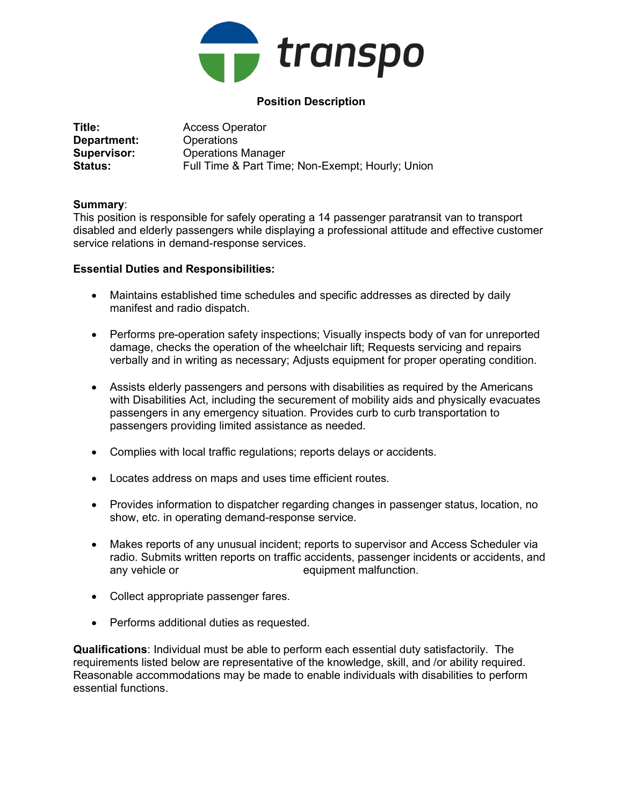

## Position Description

| Title:         | <b>Access Operator</b>                           |
|----------------|--------------------------------------------------|
| Department:    | Operations                                       |
| Supervisor:    | <b>Operations Manager</b>                        |
| <b>Status:</b> | Full Time & Part Time; Non-Exempt; Hourly; Union |

## Summary:

This position is responsible for safely operating a 14 passenger paratransit van to transport disabled and elderly passengers while displaying a professional attitude and effective customer service relations in demand-response services.

## Essential Duties and Responsibilities:

- Maintains established time schedules and specific addresses as directed by daily manifest and radio dispatch.
- Performs pre-operation safety inspections; Visually inspects body of van for unreported damage, checks the operation of the wheelchair lift; Requests servicing and repairs verbally and in writing as necessary; Adjusts equipment for proper operating condition.
- Assists elderly passengers and persons with disabilities as required by the Americans with Disabilities Act, including the securement of mobility aids and physically evacuates passengers in any emergency situation. Provides curb to curb transportation to passengers providing limited assistance as needed.
- Complies with local traffic regulations; reports delays or accidents.
- Locates address on maps and uses time efficient routes.
- Provides information to dispatcher regarding changes in passenger status, location, no show, etc. in operating demand-response service.
- Makes reports of any unusual incident; reports to supervisor and Access Scheduler via radio. Submits written reports on traffic accidents, passenger incidents or accidents, and any vehicle or equipment malfunction.
- Collect appropriate passenger fares.
- Performs additional duties as requested.

Qualifications: Individual must be able to perform each essential duty satisfactorily. The requirements listed below are representative of the knowledge, skill, and /or ability required. Reasonable accommodations may be made to enable individuals with disabilities to perform essential functions.